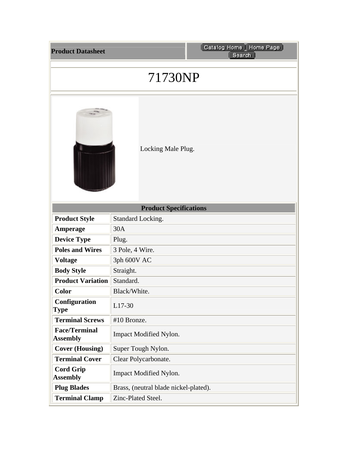| <b>Product Datasheet</b>                | Catalog Home   Home Page<br>Search    |  |
|-----------------------------------------|---------------------------------------|--|
| 71730NP                                 |                                       |  |
|                                         | Locking Male Plug.                    |  |
| <b>Product Specifications</b>           |                                       |  |
| <b>Product Style</b>                    | Standard Locking.                     |  |
| Amperage                                | 30A                                   |  |
| <b>Device Type</b>                      | Plug.                                 |  |
| <b>Poles and Wires</b>                  | 3 Pole, 4 Wire.                       |  |
| <b>Voltage</b>                          | 3ph 600V AC                           |  |
| <b>Body Style</b>                       | Straight.                             |  |
| <b>Product Variation</b>                | Standard.                             |  |
| Color                                   | Black/White                           |  |
| Configuration<br><b>Type</b>            | L17-30                                |  |
| <b>Terminal Screws</b>                  | #10 Bronze.                           |  |
| <b>Face/Terminal</b><br><b>Assembly</b> | Impact Modified Nylon.                |  |
| <b>Cover (Housing)</b>                  | Super Tough Nylon.                    |  |
| <b>Terminal Cover</b>                   | Clear Polycarbonate.                  |  |
| <b>Cord Grip</b><br><b>Assembly</b>     | Impact Modified Nylon.                |  |
| <b>Plug Blades</b>                      | Brass, (neutral blade nickel-plated). |  |
| <b>Terminal Clamp</b>                   | Zinc-Plated Steel.                    |  |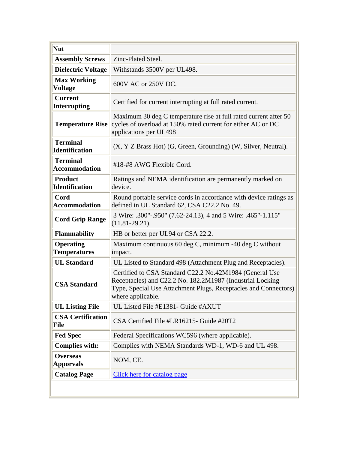| <b>Nut</b>                               |                                                                                                                                                                                                              |
|------------------------------------------|--------------------------------------------------------------------------------------------------------------------------------------------------------------------------------------------------------------|
| <b>Assembly Screws</b>                   | Zinc-Plated Steel.                                                                                                                                                                                           |
| <b>Dielectric Voltage</b>                | Withstands 3500V per UL498.                                                                                                                                                                                  |
| <b>Max Working</b><br><b>Voltage</b>     | 600V AC or 250V DC.                                                                                                                                                                                          |
| <b>Current</b><br><b>Interrupting</b>    | Certified for current interrupting at full rated current.                                                                                                                                                    |
| <b>Temperature Rise</b>                  | Maximum 30 deg C temperature rise at full rated current after 50<br>cycles of overload at 150% rated current for either AC or DC<br>applications per UL498                                                   |
| <b>Terminal</b><br><b>Identification</b> | $(X, Y Z$ Brass Hot) $(G, Green, Grounding)$ (W, Silver, Neutral).                                                                                                                                           |
| <b>Terminal</b><br><b>Accommodation</b>  | #18-#8 AWG Flexible Cord.                                                                                                                                                                                    |
| <b>Product</b><br><b>Identification</b>  | Ratings and NEMA identification are permanently marked on<br>device.                                                                                                                                         |
| Cord<br><b>Accommodation</b>             | Round portable service cords in accordance with device ratings as<br>defined in UL Standard 62, CSA C22.2 No. 49.                                                                                            |
| <b>Cord Grip Range</b>                   | 3 Wire: .300"-.950" (7.62-24.13), 4 and 5 Wire: .465"-1.115"<br>$(11.81 - 29.21)$ .                                                                                                                          |
| <b>Flammability</b>                      | HB or better per UL94 or CSA 22.2.                                                                                                                                                                           |
| <b>Operating</b><br><b>Temperatures</b>  | Maximum continuous 60 deg C, minimum -40 deg C without<br>impact.                                                                                                                                            |
| <b>UL Standard</b>                       | UL Listed to Standard 498 (Attachment Plug and Receptacles).                                                                                                                                                 |
| <b>CSA Standard</b>                      | Certified to CSA Standard C22.2 No.42M1984 (General Use<br>Receptacles) and C22.2 No. 182.2M1987 (Industrial Locking<br>Type, Special Use Attachment Plugs, Receptacles and Connectors)<br>where applicable. |
| <b>UL Listing File</b>                   | UL Listed File #E1381- Guide #AXUT                                                                                                                                                                           |
| <b>CSA Certification</b><br>File         | CSA Certified File #LR16215- Guide #20T2                                                                                                                                                                     |
| <b>Fed Spec</b>                          | Federal Specifications WC596 (where applicable).                                                                                                                                                             |
| <b>Complies with:</b>                    | Complies with NEMA Standards WD-1, WD-6 and UL 498.                                                                                                                                                          |
| <b>Overseas</b><br><b>Apporvals</b>      | NOM, CE.                                                                                                                                                                                                     |
| <b>Catalog Page</b>                      | Click here for catalog page                                                                                                                                                                                  |
|                                          |                                                                                                                                                                                                              |